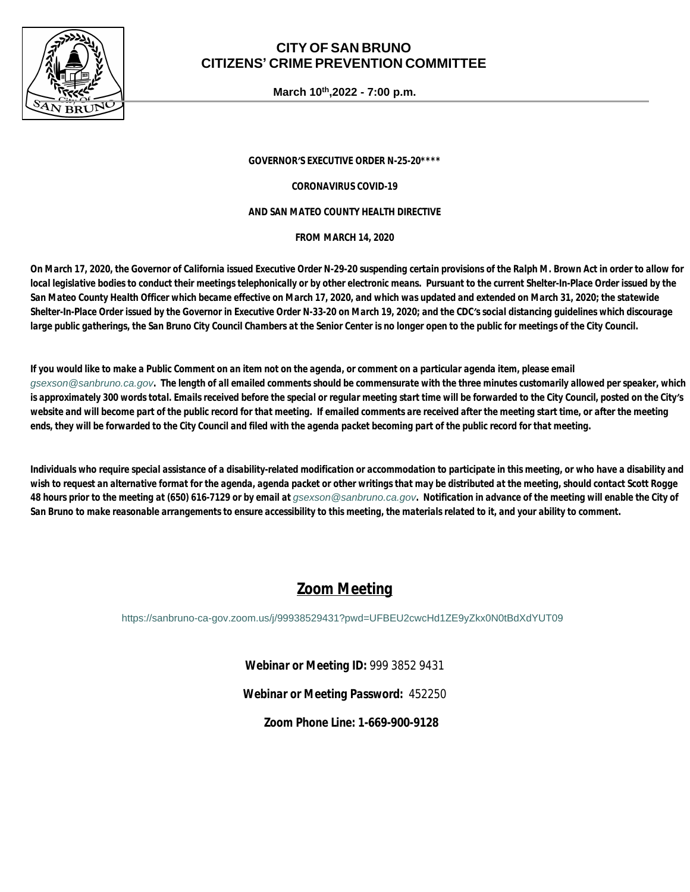

## **CITY OF SAN BRUNO CITIZENS' CRIME PREVENTION COMMITTEE**

**March 10th,2022 - 7:00 p.m.**

*GOVERNOR'S EXECUTIVE ORDER N-25-20\*\*\*\**

*CORONAVIRUS COVID-19*

#### *AND SAN MATEO COUNTY HEALTH DIRECTIVE*

*FROM MARCH 14, 2020*

*On March 17, 2020, the Governor of California issued Executive Order N-29-20 suspending certain provisions of the Ralph M. Brown Act in order to allow for local legislative bodies to conduct their meetings telephonically or by other electronic means. Pursuant to the current Shelter-In-Place Order issued by the San Mateo County Health Officer which became effective on March 17, 2020, and which was updated and extended on March 31, 2020; the statewide Shelter-In-Place Order issued by the Governor in Executive Order N-33-20 on March 19, 2020; and the CDC's social distancing guidelines which discourage*  large public gatherings, the San Bruno City Council Chambers at the Senior Center is no longer open to the public for meetings of the City Council.

*If you would like to make a Public Comment on an item not on the agenda, or comment on a particular agenda item, please email [gsexson@sanbruno.ca.gov](mailto:gsexson@sanbruno.ca.gov). The length of all emailed comments should be commensurate with the three minutes customarily allowed per speaker, which is approximately 300 words total. Emails received before the special or regular meeting start time will be forwarded to the City Council, posted on the City's*  website and will become part of the public record for that meeting. If emailed comments are received after the meeting start time, or after the meeting *ends, they will be forwarded to the City Council and filed with the agenda packet becoming part of the public record for that meeting.* 

*Individuals who require special assistance of a disability-related modification or accommodation to participate in this meeting, or who have a disability and wish to request an alternative format for the agenda, agenda packet or other writings that may be distributed at the meeting, should contact Scott Rogge*  48 hours prior to the meeting at (650) 616-7129 or by email at *qsexson@sanbruno.ca.gov*. Notification in advance of the meeting will enable the City of *San Bruno to make reasonable arrangements to ensure accessibility to this meeting, the materials related to it, and your ability to comment.*

## *Zoom Meeting*

<https://sanbruno-ca-gov.zoom.us/j/99938529431?pwd=UFBEU2cwcHd1ZE9yZkx0N0tBdXdYUT09>

*Webinar or Meeting ID:* 999 3852 9431

*Webinar or Meeting Password:* 452250

*Zoom Phone Line:* **1-669-900-9128**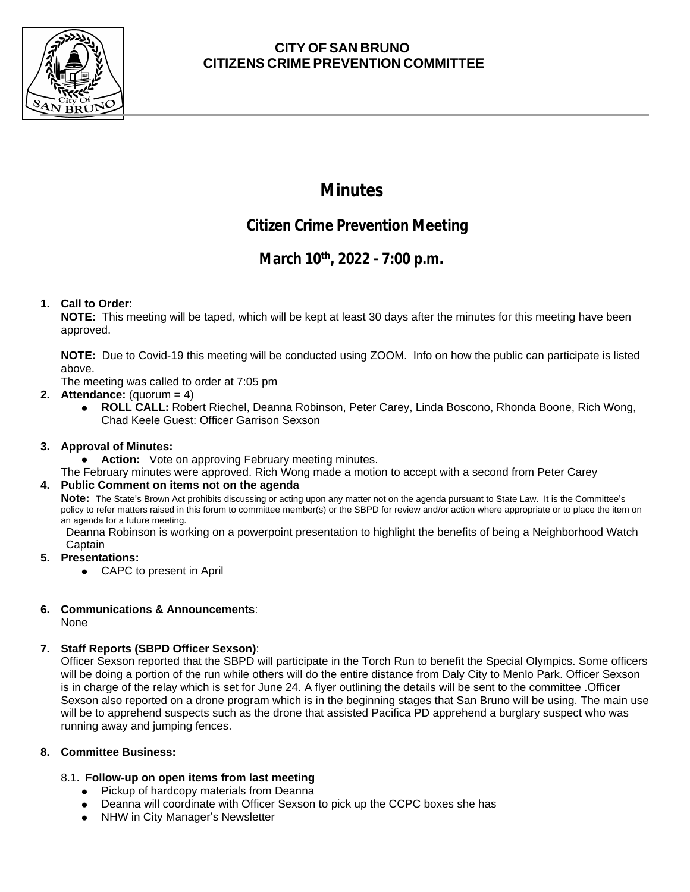

## **CITY OF SAN BRUNO CITIZENS CRIME PREVENTION COMMITTEE**

# **Minutes**

## **Citizen Crime Prevention Meeting**

## **March 10th, 2022 - 7:00 p.m.**

## **1. Call to Order**:

**NOTE:** This meeting will be taped, which will be kept at least 30 days after the minutes for this meeting have been approved.

**NOTE:** Due to Covid-19 this meeting will be conducted using ZOOM. Info on how the public can participate is listed above.

The meeting was called to order at 7:05 pm

## **2. Attendance:** (quorum = 4)

● **ROLL CALL:** Robert Riechel, Deanna Robinson, Peter Carey, Linda Boscono, Rhonda Boone, Rich Wong, Chad Keele Guest: Officer Garrison Sexson

## **3. Approval of Minutes:**

● **Action:** Vote on approving February meeting minutes.

The February minutes were approved. Rich Wong made a motion to accept with a second from Peter Carey

#### **4. Public Comment on items not on the agenda**

**Note:** The State's Brown Act prohibits discussing or acting upon any matter not on the agenda pursuant to State Law. It is the Committee's policy to refer matters raised in this forum to committee member(s) or the SBPD for review and/or action where appropriate or to place the item on an agenda for a future meeting.

Deanna Robinson is working on a powerpoint presentation to highlight the benefits of being a Neighborhood Watch Captain

## **5. Presentations:**

• CAPC to present in April

## **6. Communications & Announcements**:

None

## **7. Staff Reports (SBPD Officer Sexson)**:

Officer Sexson reported that the SBPD will participate in the Torch Run to benefit the Special Olympics. Some officers will be doing a portion of the run while others will do the entire distance from Daly City to Menlo Park. Officer Sexson is in charge of the relay which is set for June 24. A flyer outlining the details will be sent to the committee .Officer Sexson also reported on a drone program which is in the beginning stages that San Bruno will be using. The main use will be to apprehend suspects such as the drone that assisted Pacifica PD apprehend a burglary suspect who was running away and jumping fences.

#### **8. Committee Business:**

## 8.1. **Follow-up on open items from last meeting**

- **●** Pickup of hardcopy materials from Deanna
- Deanna will coordinate with Officer Sexson to pick up the CCPC boxes she has
- **●** NHW in City Manager's Newsletter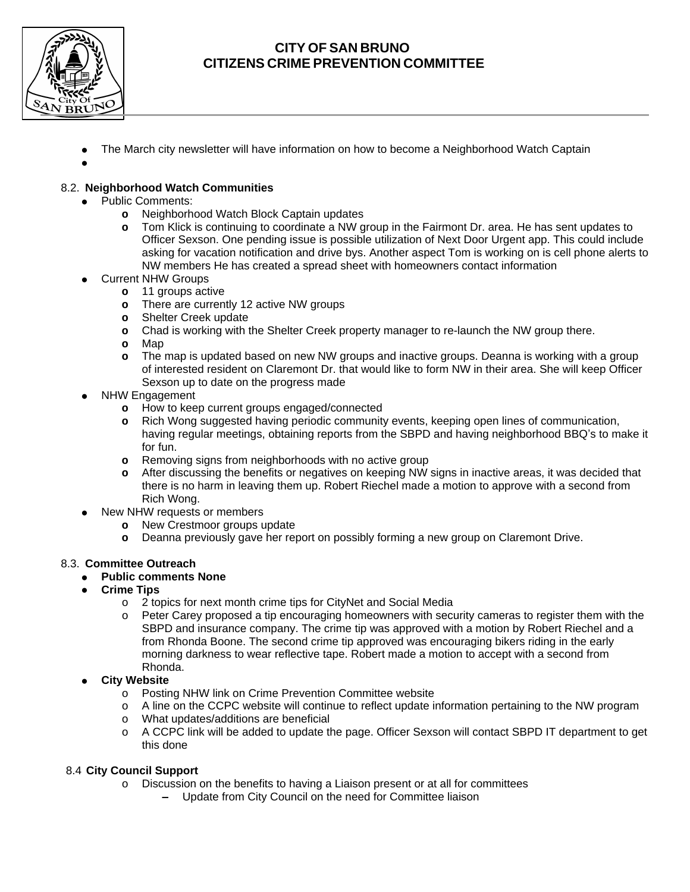

## **CITY OF SAN BRUNO CITIZENS CRIME PREVENTION COMMITTEE**

- **●** The March city newsletter will have information on how to become a Neighborhood Watch Captain
- **●**

### 8.2. **Neighborhood Watch Communities**

- Public Comments:
	- **o** Neighborhood Watch Block Captain updates
	- **o** Tom Klick is continuing to coordinate a NW group in the Fairmont Dr. area. He has sent updates to Officer Sexson. One pending issue is possible utilization of Next Door Urgent app. This could include asking for vacation notification and drive bys. Another aspect Tom is working on is cell phone alerts to NW members He has created a spread sheet with homeowners contact information
- **Current NHW Groups** 
	- **o** 11 groups active
		- **o** There are currently 12 active NW groups
		- **o** Shelter Creek update
		- **o** Chad is working with the Shelter Creek property manager to re-launch the NW group there.
		- **o** Map
		- **o** The map is updated based on new NW groups and inactive groups. Deanna is working with a group of interested resident on Claremont Dr. that would like to form NW in their area. She will keep Officer Sexson up to date on the progress made
- **NHW Engagement** 
	- **o** How to keep current groups engaged/connected
	- **o** Rich Wong suggested having periodic community events, keeping open lines of communication, having regular meetings, obtaining reports from the SBPD and having neighborhood BBQ's to make it for fun.
	- **o** Removing signs from neighborhoods with no active group
	- **o** After discussing the benefits or negatives on keeping NW signs in inactive areas, it was decided that there is no harm in leaving them up. Robert Riechel made a motion to approve with a second from Rich Wong.
- New NHW requests or members
	- **o** New Crestmoor groups update
	- **o** Deanna previously gave her report on possibly forming a new group on Claremont Drive.

#### 8.3. **Committee Outreach**

#### **● Public comments None**

- **Crime Tips** 
	- o 2 topics for next month crime tips for CityNet and Social Media
	- o Peter Carey proposed a tip encouraging homeowners with security cameras to register them with the SBPD and insurance company. The crime tip was approved with a motion by Robert Riechel and a from Rhonda Boone. The second crime tip approved was encouraging bikers riding in the early morning darkness to wear reflective tape. Robert made a motion to accept with a second from Rhonda.
- **● City Website**
	- o Posting NHW link on Crime Prevention Committee website
	- o A line on the CCPC website will continue to reflect update information pertaining to the NW program
	- o What updates/additions are beneficial
	- o A CCPC link will be added to update the page. Officer Sexson will contact SBPD IT department to get this done

#### 8.4 **City Council Support**

- o Discussion on the benefits to having a Liaison present or at all for committees
	- **–** Update from City Council on the need for Committee liaison